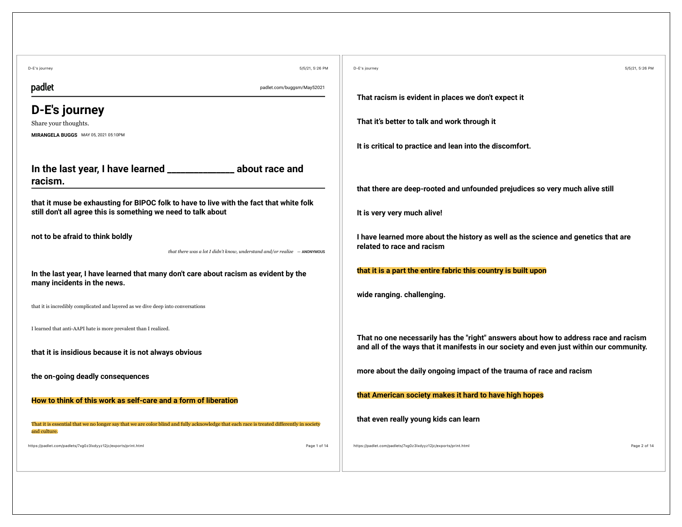| 5/5/21, 5:26 PM<br>D-E's journey                                                                                                                          | D-E's journey<br>5/5/21, 5:26 PM                                                         |
|-----------------------------------------------------------------------------------------------------------------------------------------------------------|------------------------------------------------------------------------------------------|
| padlet<br>padlet.com/buggsm/May52021                                                                                                                      | That racism is evident in places we don't expect it                                      |
| D-E's journey                                                                                                                                             |                                                                                          |
| Share your thoughts.                                                                                                                                      | That it's better to talk and work through it                                             |
| MIRANGELA BUGGS MAY 05, 2021 05:10PM                                                                                                                      |                                                                                          |
|                                                                                                                                                           | It is critical to practice and lean into the discomfort.                                 |
| In the last year, I have learned ________________ about race and                                                                                          |                                                                                          |
| racism.                                                                                                                                                   | that there are deep-rooted and unfounded prejudices so very much alive still             |
| that it muse be exhausting for BIPOC folk to have to live with the fact that white folk                                                                   |                                                                                          |
| still don't all agree this is something we need to talk about                                                                                             | It is very very much alive!                                                              |
| not to be afraid to think boldly                                                                                                                          | I have learned more about the history as well as the science and genetics that are       |
| that there was a lot I didn't know, understand and/or realize $-$ ANONYMOUS                                                                               | related to race and racism                                                               |
| In the last year, I have learned that many don't care about racism as evident by the                                                                      | that it is a part the entire fabric this country is built upon                           |
| many incidents in the news.                                                                                                                               |                                                                                          |
| that it is incredibly complicated and layered as we dive deep into conversations                                                                          | wide ranging. challenging.                                                               |
|                                                                                                                                                           |                                                                                          |
| I learned that anti-AAPI hate is more prevalent than I realized.                                                                                          | That no one necessarily has the "right" answers about how to address race and racism     |
| that it is insidious because it is not always obvious                                                                                                     | and all of the ways that it manifests in our society and even just within our community. |
|                                                                                                                                                           | more about the daily ongoing impact of the trauma of race and racism                     |
| the on-going deadly consequences                                                                                                                          |                                                                                          |
| How to think of this work as self-care and a form of liberation                                                                                           | that American society makes it hard to have high hopes                                   |
|                                                                                                                                                           | that even really young kids can learn                                                    |
| That it is essential that we no longer say that we are color blind and fully acknowledge that each race is treated differently in society<br>and culture. |                                                                                          |
| https://padlet.com/padlets/7xg0z3lxdyyz12jc/exports/print.html<br>Page 1 of 14                                                                            | Page 2 of 14<br>https://padlet.com/padlets/7xg0z3lxdyyz12jc/exports/print.html           |
|                                                                                                                                                           |                                                                                          |
|                                                                                                                                                           |                                                                                          |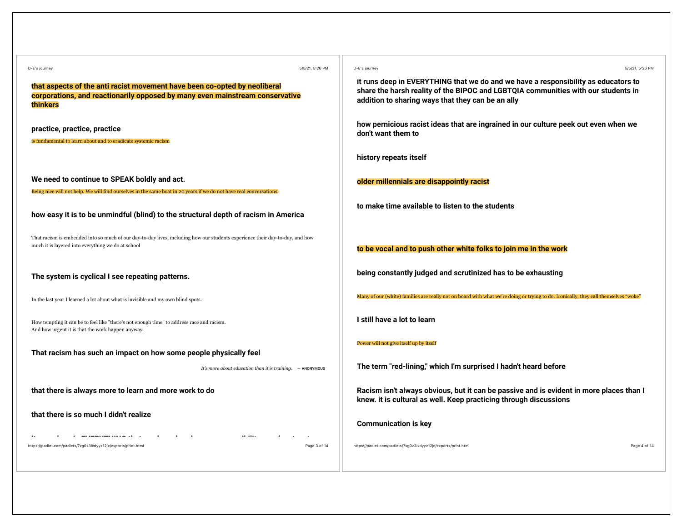| 5/5/21, 5:26 PM<br>D-E's journey                                                                                                                                                    | D-E's journey<br>5/5/21, 5:26 PM                                                                                                                                                                                             |
|-------------------------------------------------------------------------------------------------------------------------------------------------------------------------------------|------------------------------------------------------------------------------------------------------------------------------------------------------------------------------------------------------------------------------|
| that aspects of the anti racist movement have been co-opted by neoliberal<br>corporations, and reactionarily opposed by many even mainstream conservative<br>thinkers               | it runs deep in EVERYTHING that we do and we have a responsibility as educators to<br>share the harsh reality of the BIPOC and LGBTQIA communities with our students in<br>addition to sharing ways that they can be an ally |
| practice, practice, practice<br>is fundamental to learn about and to eradicate systemic racism                                                                                      | how pernicious racist ideas that are ingrained in our culture peek out even when we<br>don't want them to                                                                                                                    |
|                                                                                                                                                                                     | history repeats itself                                                                                                                                                                                                       |
| We need to continue to SPEAK boldly and act.<br>Being nice will not help. We will find ourselves in the same boat in 20 years if we do not have real conversations.                 | older millennials are disappointly racist                                                                                                                                                                                    |
| how easy it is to be unmindful (blind) to the structural depth of racism in America                                                                                                 | to make time available to listen to the students                                                                                                                                                                             |
| That racism is embedded into so much of our day-to-day lives, including how our students experience their day-to-day, and how<br>much it is layered into everything we do at school | to be vocal and to push other white folks to join me in the work                                                                                                                                                             |
| The system is cyclical I see repeating patterns.                                                                                                                                    | being constantly judged and scrutinized has to be exhausting                                                                                                                                                                 |
| In the last year I learned a lot about what is invisible and my own blind spots.                                                                                                    | Many of our (white) families are really not on board with what we're doing or trying to do. Ironically, they call themselves "woke"                                                                                          |
| How tempting it can be to feel like "there's not enough time" to address race and racism.<br>And how urgent it is that the work happen anyway.                                      | I still have a lot to learn                                                                                                                                                                                                  |
| That racism has such an impact on how some people physically feel                                                                                                                   | Power will not give itself up by itself                                                                                                                                                                                      |
| It's more about education than it is training. $-$ ANONYMOUS                                                                                                                        | The term "red-lining," which I'm surprised I hadn't heard before                                                                                                                                                             |
| that there is always more to learn and more work to do                                                                                                                              | Racism isn't always obvious, but it can be passive and is evident in more places than I<br>knew. it is cultural as well. Keep practicing through discussions                                                                 |
| that there is so much I didn't realize                                                                                                                                              | <b>Communication is key</b>                                                                                                                                                                                                  |
| https://padlet.com/padlets/7xg0z3lxdyyz12jc/exports/print.html<br>Page 3 of 14                                                                                                      | Page 4 of 14<br>https://padlet.com/padlets/7xg0z3lxdyyz12jc/exports/print.html                                                                                                                                               |
|                                                                                                                                                                                     |                                                                                                                                                                                                                              |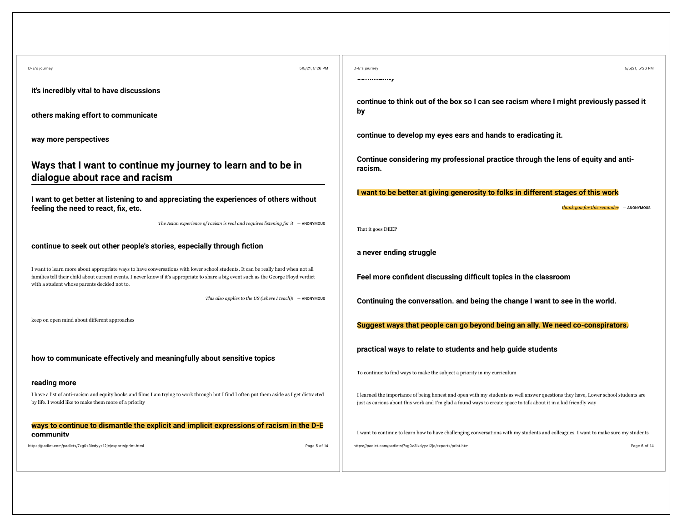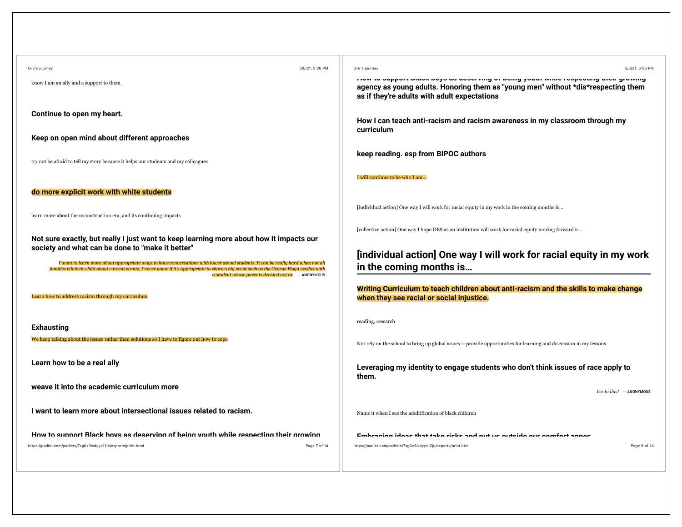| D-E's journey                                                                                                                                                                                                                                                                                                                              | 5/5/21, 5:26 PM | D-E's journey<br>5/5/21, 5:26 PM                                                                                                                                                                                         |
|--------------------------------------------------------------------------------------------------------------------------------------------------------------------------------------------------------------------------------------------------------------------------------------------------------------------------------------------|-----------------|--------------------------------------------------------------------------------------------------------------------------------------------------------------------------------------------------------------------------|
| know I am an ally and a support to them.                                                                                                                                                                                                                                                                                                   |                 | Tion to addhair minor anda na neari ting at aning langi timin teahaning man draming<br>agency as young adults. Honoring them as "young men" without *dis*respecting them<br>as if they're adults with adult expectations |
| Continue to open my heart.                                                                                                                                                                                                                                                                                                                 |                 | How I can teach anti-racism and racism awareness in my classroom through my                                                                                                                                              |
| Keep on open mind about different approaches                                                                                                                                                                                                                                                                                               |                 | curriculum                                                                                                                                                                                                               |
| try not be afraid to tell my story because it helps our students and my colleagues                                                                                                                                                                                                                                                         |                 | keep reading. esp from BIPOC authors                                                                                                                                                                                     |
|                                                                                                                                                                                                                                                                                                                                            |                 | I will continue to be who I am                                                                                                                                                                                           |
| do more explicit work with white students                                                                                                                                                                                                                                                                                                  |                 |                                                                                                                                                                                                                          |
| learn more about the reconstruction era, and its continuing impacts                                                                                                                                                                                                                                                                        |                 | [individual action] One way I will work for racial equity in my work in the coming months is                                                                                                                             |
| Not sure exactly, but really I just want to keep learning more about how it impacts our<br>society and what can be done to "make it better"                                                                                                                                                                                                |                 | [collective action] One way I hope DES as an institution will work for racial equity moving forward is                                                                                                                   |
| I want to learn more about appropriate ways to have conversations with lower school students. It can be really hard when not all<br>families tell their child about current events. I never know if it's appropriate to share a big event such as the George Floyd verdict with<br>$a$ student whose parents decided not to. $-$ ANONYMOUS |                 | [individual action] One way I will work for racial equity in my work<br>in the coming months is                                                                                                                          |
| Learn how to address racism through my curriculum                                                                                                                                                                                                                                                                                          |                 | Writing Curriculum to teach children about anti-racism and the skills to make change<br>when they see racial or social injustice.                                                                                        |
| <b>Exhausting</b>                                                                                                                                                                                                                                                                                                                          |                 | reading, research                                                                                                                                                                                                        |
| We keep talking about the issues rather than solutions so I have to figure out how to cope                                                                                                                                                                                                                                                 |                 | Not rely on the school to bring up global issues -- provide opportunities for learning and discussion in my lessons                                                                                                      |
| Learn how to be a real ally                                                                                                                                                                                                                                                                                                                |                 | Leveraging my identity to engage students who don't think issues of race apply to<br>them.                                                                                                                               |
| weave it into the academic curriculum more                                                                                                                                                                                                                                                                                                 |                 | $Yes to this!$ - ANONYMOUS                                                                                                                                                                                               |
| I want to learn more about intersectional issues related to racism.                                                                                                                                                                                                                                                                        |                 | Name it when I see the adultification of black children                                                                                                                                                                  |
| How to cunnort Rlack hove as deserving of heing vouth while respecting their growing                                                                                                                                                                                                                                                       |                 | Embracina idaan that taka riaka and nut ua autaida aur aamfart wanaa                                                                                                                                                     |
| https://padlet.com/padlets/7xg0z3lxdyyz12jc/exports/print.html                                                                                                                                                                                                                                                                             | Page 7 of 14    | https://padlet.com/padlets/7xg0z3lxdyyz12jc/exports/print.html<br>Page 8 of 14                                                                                                                                           |
|                                                                                                                                                                                                                                                                                                                                            |                 |                                                                                                                                                                                                                          |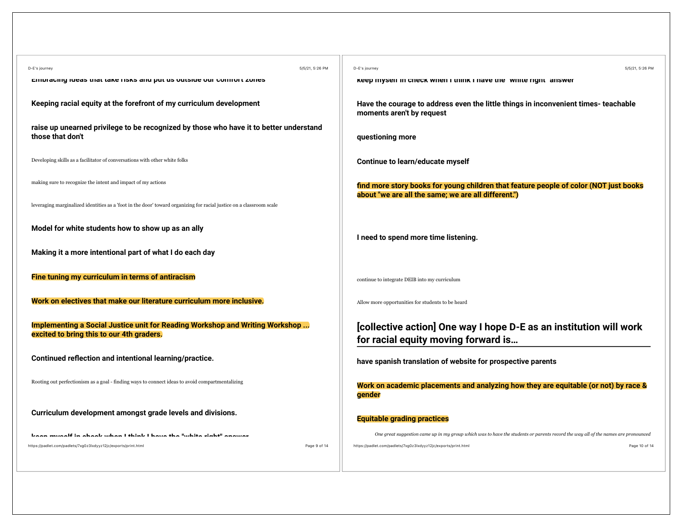| 5/5/21, 5:26 PM<br>D-E's journey                                                                                          | D-E's journey<br>5/5/21, 5:26 PM                                                                                                             |
|---------------------------------------------------------------------------------------------------------------------------|----------------------------------------------------------------------------------------------------------------------------------------------|
| EHIDI AUHIY IUCAS LIIAL LANC HONO AHU PUL US UULSIUC UUI UUHIIUI L ZUHCS                                                  | Keep myself in check when I think I have the white right answer                                                                              |
| Keeping racial equity at the forefront of my curriculum development                                                       | Have the courage to address even the little things in inconvenient times- teachable<br>moments aren't by request                             |
| raise up unearned privilege to be recognized by those who have it to better understand<br>those that don't                | questioning more                                                                                                                             |
| Developing skills as a facilitator of conversations with other white folks                                                | Continue to learn/educate myself                                                                                                             |
| making sure to recognize the intent and impact of my actions                                                              | find more story books for young children that feature people of color (NOT just books<br>about "we are all the same; we are all different.") |
| leveraging marginalized identities as a 'foot in the door' toward organizing for racial justice on a classroom scale      |                                                                                                                                              |
| Model for white students how to show up as an ally                                                                        | I need to spend more time listening.                                                                                                         |
| Making it a more intentional part of what I do each day                                                                   |                                                                                                                                              |
| Fine tuning my curriculum in terms of antiracism                                                                          | continue to integrate DEIB into my curriculum                                                                                                |
| Work on electives that make our literature curriculum more inclusive.                                                     | Allow more opportunities for students to be heard                                                                                            |
| Implementing a Social Justice unit for Reading Workshop and Writing Workshop<br>excited to bring this to our 4th graders. | [collective action] One way I hope D-E as an institution will work<br>for racial equity moving forward is                                    |
| Continued reflection and intentional learning/practice.                                                                   | have spanish translation of website for prospective parents                                                                                  |
| Rooting out perfectionism as a goal - finding ways to connect ideas to avoid compartmentalizing                           | Work on academic placements and analyzing how they are equitable (or not) by race &<br>gender                                                |
| Curriculum development amongst grade levels and divisions.                                                                | <b>Equitable grading practices</b>                                                                                                           |
| فمتنتم وستنقط المستشر والمستقيد والمتحلف والمتحاف والمستقار والمستنقذ والمستنفي والمستندا                                 | One great suggestion came up in my group which was to have the students or parents record the way all of the names are pronounced            |
| Page 9 of 14<br>https://padlet.com/padlets/7xg0z3lxdyyz12jc/exports/print.html                                            | https://padlet.com/padlets/7xg0z3lxdyyz12jc/exports/print.html<br>Page 10 of 14                                                              |
|                                                                                                                           |                                                                                                                                              |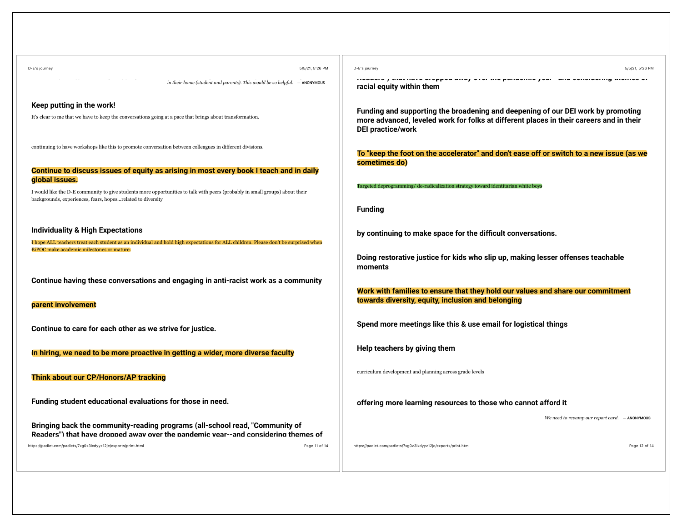| D-E's journey<br>5/5/21, 5:26 PM                                                                                                                                                                             | D-E's journey<br>5/5/21, 5:26 PM                                                                                                                                                                        |
|--------------------------------------------------------------------------------------------------------------------------------------------------------------------------------------------------------------|---------------------------------------------------------------------------------------------------------------------------------------------------------------------------------------------------------|
| in their home (student and parents). This would be so helpful. $-$ ANONYMOUS                                                                                                                                 | tivaaste ji umi hars arsppsa arraji sisti ursipantasintsi jisati laha senstastin<br>racial equity within them                                                                                           |
| Keep putting in the work!                                                                                                                                                                                    |                                                                                                                                                                                                         |
| It's clear to me that we have to keep the conversations going at a pace that brings about transformation.                                                                                                    | Funding and supporting the broadening and deepening of our DEI work by promoting<br>more advanced, leveled work for folks at different places in their careers and in their<br><b>DEI</b> practice/work |
| continuing to have workshops like this to promote conversation between colleagues in different divisions.                                                                                                    | To "keep the foot on the accelerator" and don't ease off or switch to a new issue (as we<br>sometimes do)                                                                                               |
| Continue to discuss issues of equity as arising in most every book I teach and in daily                                                                                                                      |                                                                                                                                                                                                         |
| global issues.<br>I would like the D-E community to give students more opportunities to talk with peers (probably in small groups) about their<br>backgrounds, experiences, fears, hopesrelated to diversity | Targeted deprogramming/ de-radicalization strategy toward identitarian white boys                                                                                                                       |
|                                                                                                                                                                                                              | <b>Funding</b>                                                                                                                                                                                          |
| <b>Individuality &amp; High Expectations</b>                                                                                                                                                                 | by continuing to make space for the difficult conversations.                                                                                                                                            |
| I hope ALL teachers treat each student as an individual and hold high expectations for ALL children. Please don't be surprised when                                                                          |                                                                                                                                                                                                         |
| BiPOC make academic milestones or mature.                                                                                                                                                                    | Doing restorative justice for kids who slip up, making lesser offenses teachable<br>moments                                                                                                             |
| Continue having these conversations and engaging in anti-racist work as a community                                                                                                                          | Work with families to ensure that they hold our values and share our commitment                                                                                                                         |
| parent involvement                                                                                                                                                                                           | towards diversity, equity, inclusion and belonging                                                                                                                                                      |
| Continue to care for each other as we strive for justice.                                                                                                                                                    | Spend more meetings like this & use email for logistical things                                                                                                                                         |
| In hiring, we need to be more proactive in getting a wider, more diverse faculty                                                                                                                             | Help teachers by giving them                                                                                                                                                                            |
| Think about our CP/Honors/AP tracking                                                                                                                                                                        | curriculum development and planning across grade levels                                                                                                                                                 |
| Funding student educational evaluations for those in need.                                                                                                                                                   | offering more learning resources to those who cannot afford it                                                                                                                                          |
|                                                                                                                                                                                                              | We need to revamp our report card. - ANONYMOUS                                                                                                                                                          |
| Bringing back the community-reading programs (all-school read, "Community of<br>Readers") that have dronned away over the nandemic year--and considering themes of                                           |                                                                                                                                                                                                         |
| Page 11 of 14<br>https://padlet.com/padlets/7xg0z3lxdyyz12jc/exports/print.html                                                                                                                              | https://padlet.com/padlets/7xg0z3lxdyyz12jc/exports/print.html<br>Page 12 of 14                                                                                                                         |
|                                                                                                                                                                                                              |                                                                                                                                                                                                         |